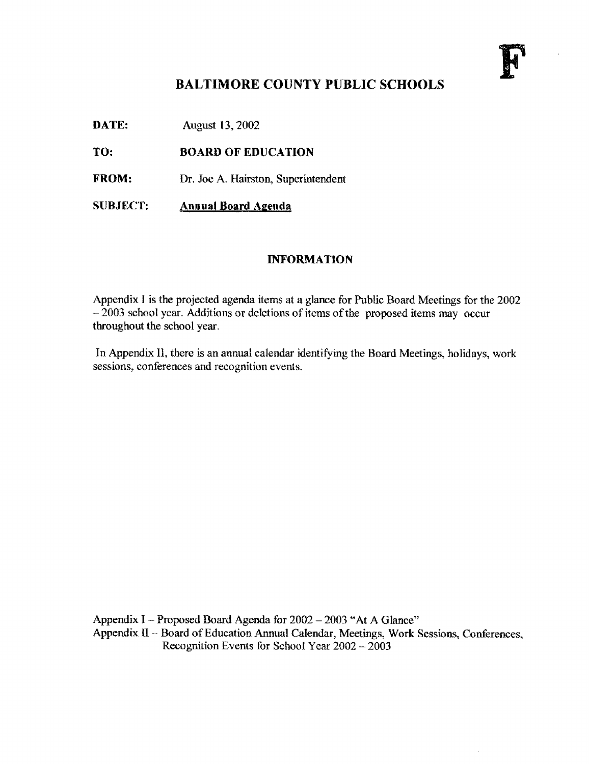

#### BALTIMORE COUNTY PUBLIC SCHOOLS

**DATE:** August 13, 2002

TO: BOARD OF EDUCATION

FROM: Dr. Joe A. Hairston, Superintendent

SUBJECT: Annual Board Agenda

#### INFORMATION

Appendix <sup>I</sup> is the projected agenda items at a glance for Public Board Meetings for the 2002  $-2003$  school year. Additions or deletions of items of the proposed items may occur throughout the school year.

In Appendix 11, there is an annual calendar identifying the Board Meetings, holidays, work sessions, conferences and recognition events.

Appendix <sup>I</sup> - Proposed Board Agenda for 2002 - 2003 "At A Glance" Appendix 11-- Board of Education Annual Calendar, Meetings, Work Sessions, Conferences, Recognition Events for School Year 2002 - 2003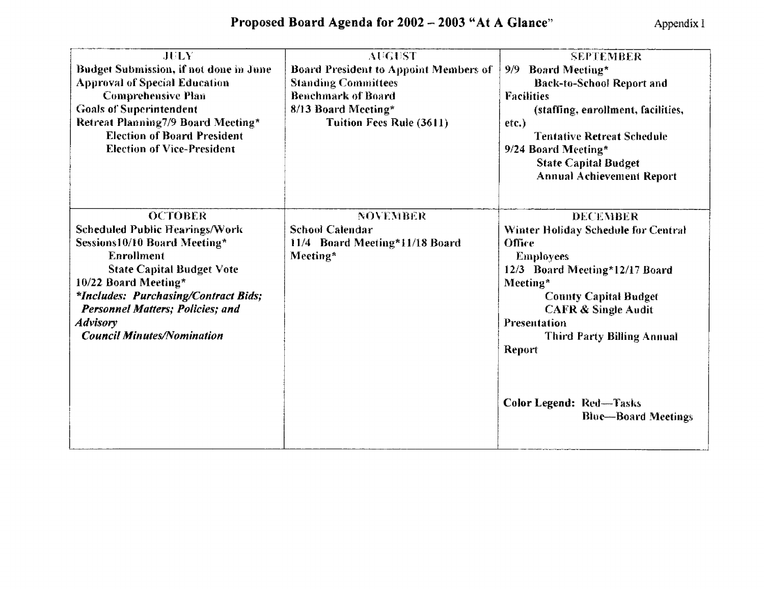| JULY<br>Budget Submission, if not done in June<br><b>Approval of Special Education</b><br><b>Comprehensive Plan</b><br><b>Goals of Superintendent</b><br>Retreat Planning7/9 Board Meeting*<br><b>Election of Board President</b><br><b>Election of Vice-President</b>                                                     | <b>AUGUST</b><br><b>Board President to Appoint Members of</b><br><b>Standing Committees</b><br><b>Benchmark of Board</b><br>8/13 Board Meeting*<br><b>Tuition Fees Rule (3611)</b> | <b>SEPTEMBER</b><br>9/9 Board Meeting*<br><b>Back-to-School Report and</b><br><b>Facilities</b><br>(staffing, enrollment, facilities,<br>etc.)<br><b>Tentative Retreat Schedule</b><br>9/24 Board Meeting*<br><b>State Capital Budget</b><br><b>Annual Achievement Report</b>   |
|----------------------------------------------------------------------------------------------------------------------------------------------------------------------------------------------------------------------------------------------------------------------------------------------------------------------------|------------------------------------------------------------------------------------------------------------------------------------------------------------------------------------|---------------------------------------------------------------------------------------------------------------------------------------------------------------------------------------------------------------------------------------------------------------------------------|
| <b>OCTOBER</b><br><b>Scheduled Public Hearings/Work</b><br>Sessions10/10 Board Meeting*<br><b>Enrollment</b><br><b>State Capital Budget Vote</b><br>10/22 Board Meeting*<br><i>*Includes: Purchasing/Contract Bids;</i><br><b>Personnel Matters; Policies; and</b><br><b>Advisory</b><br><b>Council Minutes/Nomination</b> | <b>NOVEMBER</b><br><b>School Calendar</b><br>11/4 Board Meeting*11/18 Board<br>Meeting*                                                                                            | <b>DECEMBER</b><br>Winter Holiday Schedule for Central<br>Office<br><b>Employees</b><br>12/3 Board Meeting*12/17 Board<br>Meeting <sup>*</sup><br><b>County Capital Budget</b><br><b>CAFR &amp; Single Audit</b><br>Presentation<br><b>Third Party Billing Annual</b><br>Report |
|                                                                                                                                                                                                                                                                                                                            |                                                                                                                                                                                    | <b>Color Legend: Red-Tasks</b><br><b>Blue—Board Meetings</b>                                                                                                                                                                                                                    |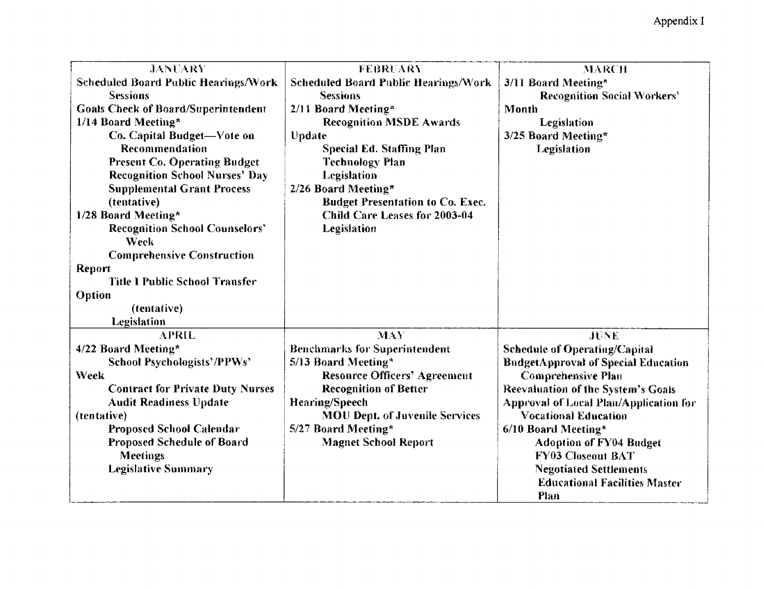| <b>JANUARY</b>                                | FEBRUARY                              | <b>MARCH</b>                               |
|-----------------------------------------------|---------------------------------------|--------------------------------------------|
| Scheduled Board Public Hearings/Work          | Scheduled Board Public Hearings/Work  | 3/11 Board Meeting*                        |
| <b>Sessions</b>                               | <b>Sessions</b>                       | <b>Recognition Social Workers'</b>         |
| <b>Goals Check of Board/Superintendent</b>    | 2/11 Board Meeting*                   | Month                                      |
| 1/14 Board Meeting*                           | <b>Recognition MSDE Awards</b>        | Legislation                                |
| Co. Capital Budget-Vote on                    | Update                                | 3/25 Board Meeting*                        |
| Recommendation                                | <b>Special Ed. Staffing Plan</b>      | Legislation                                |
| <b>Present Co. Operating Budget</b>           | <b>Technology Plan</b>                |                                            |
| <b>Recognition School Nurses' Day</b>         | Legislation                           |                                            |
| <b>Supplemental Grant Process</b>             | 2/26 Board Meeting*                   |                                            |
| (tentative)                                   | Budget Presentation to Co. Exec.      |                                            |
| 1/28 Board Meeting*                           | <b>Child Care Leases for 2003-04</b>  |                                            |
| <b>Recognition School Counselors'</b><br>Week | Legislation                           |                                            |
| <b>Comprehensive Construction</b>             |                                       |                                            |
| <b>Report</b>                                 |                                       |                                            |
| <b>Title 1 Public School Transfer</b>         |                                       |                                            |
| Option                                        |                                       |                                            |
| (tentative)                                   |                                       |                                            |
| Legislation                                   |                                       |                                            |
| <b>APRIL</b>                                  | <b>MAY</b>                            | JUNE                                       |
| 4/22 Board Meeting*                           | <b>Benchmarks for Superintendent</b>  | <b>Schedule of Operating/Capital</b>       |
| School Psychologists'/PPWs'                   | 5/13 Board Meeting*                   | <b>BudgetApproval of Special Education</b> |
| <b>Week</b>                                   | <b>Resource Officers' Agreement</b>   | Comprehensive Plan                         |
| <b>Contract for Private Duty Nurses</b>       | <b>Recognition of Better</b>          | Reevaluation of the System's Goals         |
| <b>Audit Readiness Update</b>                 | <b>Hearing/Speech</b>                 | Approval of Local Plan/Application for     |
| (tentative)                                   | <b>MOU Dept. of Juvenile Services</b> | <b>Vocational Education</b>                |
| <b>Proposed School Calendar</b>               | 5/27 Board Meeting*                   | 6/10 Board Meeting*                        |
| Proposed Schedule of Board                    | <b>Magnet School Report</b>           | <b>Adoption of FY04 Budget</b>             |
| Meetings                                      |                                       | <b>FY03 Closeout BAT</b>                   |
| <b>Legislative Summary</b>                    |                                       | <b>Negotiated Settlements</b>              |
|                                               |                                       | <b>Educational Facilities Master</b>       |
|                                               |                                       | <b>Plan</b>                                |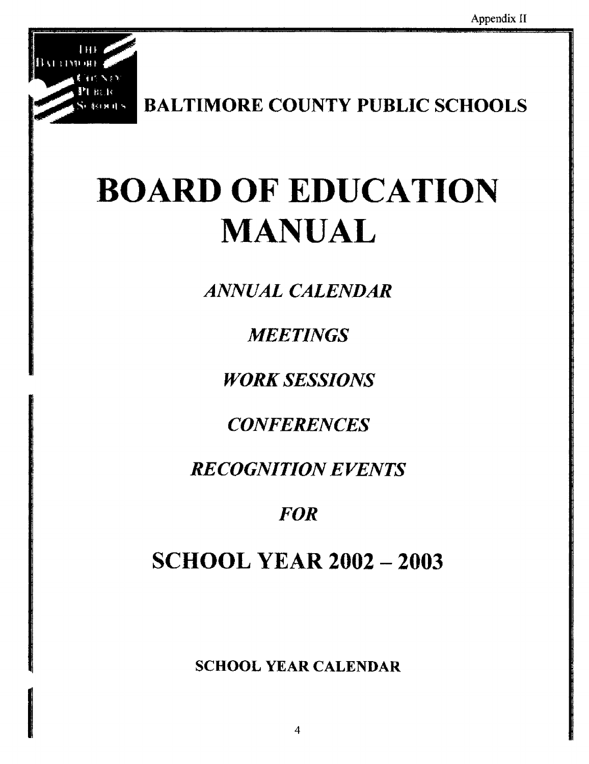

BALTIMORE COUNTY PUBLIC SCHOOLS

# BOARD OF EDUCATION MANUAL

ANNUAL CALENDAR

**MEETINGS** 

**WORK SESSIONS** 

**CONFERENCES** 

**RECOGNITION EVENTS** 

# **FOR**

# **SCHOOL YEAR 2002 - 2003**

SCHOOL YEAR CALENDAR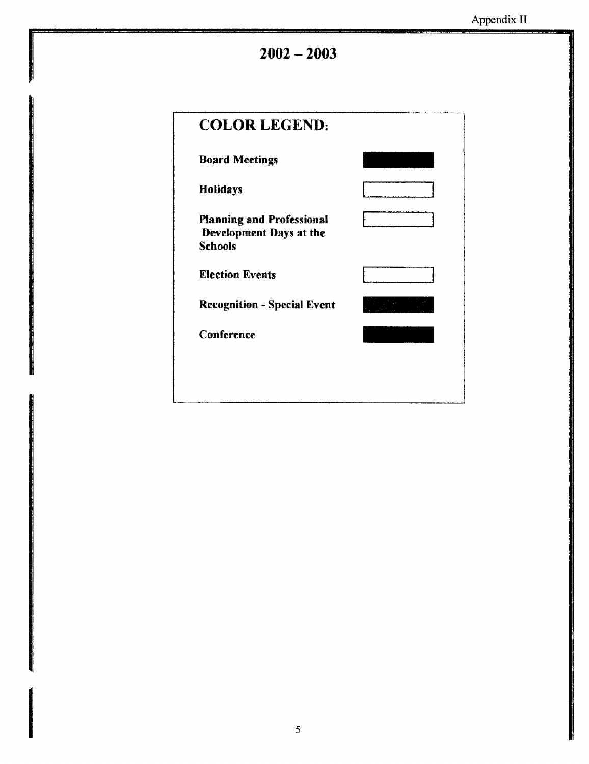$2002 - 2003$ 

| <b>COLOR LEGEND:</b>                                                          |  |
|-------------------------------------------------------------------------------|--|
| <b>Board Meetings</b>                                                         |  |
| <b>Holidays</b>                                                               |  |
| <b>Planning and Professional</b><br>Development Days at the<br><b>Schools</b> |  |
| <b>Election Events</b>                                                        |  |
| <b>Recognition - Special Event</b>                                            |  |
| Conference                                                                    |  |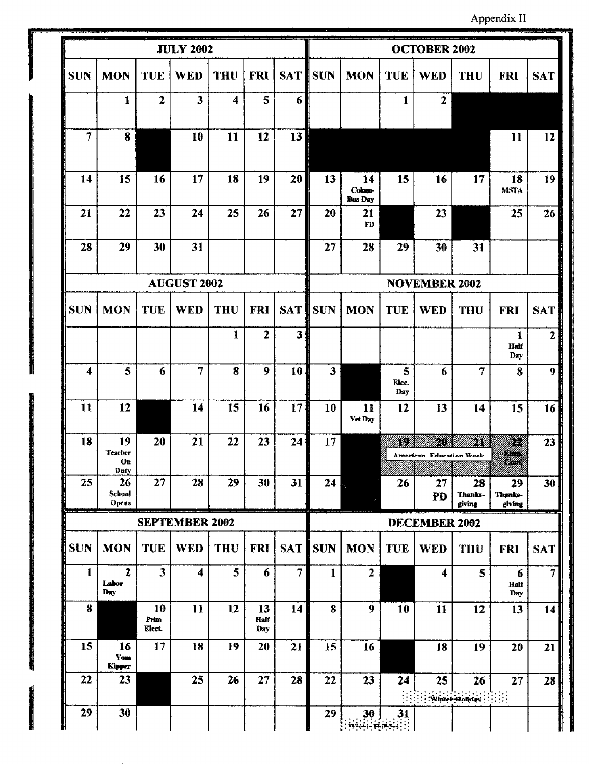Appendix II

|                         | <u>an a shekara ta shekara ta sh</u><br><b>JULY 2002</b> |                         |                         |                         |                          |            |                | <b>OCTOBER 2002</b>            |                   |                                      |                         |                                                                                                                                                                                                                                                              |                |  |
|-------------------------|----------------------------------------------------------|-------------------------|-------------------------|-------------------------|--------------------------|------------|----------------|--------------------------------|-------------------|--------------------------------------|-------------------------|--------------------------------------------------------------------------------------------------------------------------------------------------------------------------------------------------------------------------------------------------------------|----------------|--|
| <b>SUN</b>              | <b>MON</b>                                               | <b>TUE</b>              | <b>WED</b>              | <b>THU</b>              | <b>FRI</b>               | <b>SAT</b> | <b>SUN</b>     | <b>MON</b>                     | <b>TUE</b>        | <b>WED</b>                           | <b>THU</b>              | FRI                                                                                                                                                                                                                                                          | <b>SAT</b>     |  |
|                         | $\mathbf{1}$                                             | $\mathbf{2}$            | $\overline{\mathbf{3}}$ | $\overline{\mathbf{4}}$ | 5                        | 6          |                |                                | $\mathbf{1}$      | $\overline{2}$                       |                         |                                                                                                                                                                                                                                                              |                |  |
| $\overline{7}$          | 8                                                        |                         | 10                      | 11                      | 12                       | 13         |                |                                |                   |                                      |                         | 11                                                                                                                                                                                                                                                           | 12             |  |
| 14                      | 15                                                       | 16                      | 17                      | 18                      | 19                       | 20         | 13             | 14<br>Cokun-<br><b>Bus Day</b> | 15                | 16                                   | 17                      | 18<br><b>MSTA</b>                                                                                                                                                                                                                                            | 19             |  |
| 21                      | 22                                                       | 23                      | 24                      | 25                      | 26                       | 27         | 20             | 21<br>$\mathbf{P}\mathbf{D}$   |                   | 23                                   |                         | 25                                                                                                                                                                                                                                                           | 26             |  |
| 28                      | 29                                                       | 30                      | 31                      |                         |                          |            | 27             | 28                             | 29                | 30                                   | 31                      |                                                                                                                                                                                                                                                              |                |  |
|                         | <b>AUGUST 2002</b>                                       |                         |                         |                         |                          |            |                | <b>NOVEMBER 2002</b>           |                   |                                      |                         |                                                                                                                                                                                                                                                              |                |  |
| <b>SUN</b>              | <b>MON</b>                                               | <b>TUE</b>              | <b>WED</b>              | <b>THU</b>              | <b>FRI</b>               |            | <b>SAT</b> SUN | <b>MON</b>                     | <b>TUE</b>        | <b>WED</b>                           | <b>THU</b>              | <b>FRI</b>                                                                                                                                                                                                                                                   | <b>SAT</b>     |  |
|                         |                                                          |                         |                         | 1                       | $\mathbf{2}$             | 3          |                |                                |                   |                                      |                         | $\mathbf{1}$<br>Half<br>Day                                                                                                                                                                                                                                  | $\overline{2}$ |  |
| $\overline{\mathbf{4}}$ | 5                                                        | 6                       | $\overline{7}$          | 8                       | 9                        | 10         | 3              |                                | 5<br>Elec.<br>Day | 6                                    | 7                       | 8                                                                                                                                                                                                                                                            | 9              |  |
| $\mathbf{11}$           | 12                                                       |                         | 14                      | 15                      | 16                       | 17         | 10             | 11<br>Vet Day                  | 12                | 13                                   | 14                      | 15                                                                                                                                                                                                                                                           | 16             |  |
| 18                      | 19<br><b>Teacher</b><br>Оr<br>Daty                       | 20                      | 21                      | 22                      | 23                       | 24         | 17             |                                | 88                | 57<br><b>American Education Week</b> | 5                       | en de la familie de la familie de la familie de la familie de la familie de la familie de la familie de la fa<br>La familie de la familie de la familie de la familie de la familie de la familie de la familie de la familie d<br>enna<br>breann<br>binana) | 23             |  |
| 25                      | 26<br>School<br>Opens                                    | 27                      | 28                      | 29                      | 30                       | 31         | 24             |                                | 26                | 27<br>PD                             | 28<br>Thanks-<br>giving | 29<br>Thanks-<br>giving                                                                                                                                                                                                                                      | 30             |  |
|                         | <b>SEPTEMBER 2002</b>                                    |                         |                         |                         |                          |            |                |                                |                   | <b>DECEMBER 2002</b>                 |                         |                                                                                                                                                                                                                                                              |                |  |
| <b>SUN</b>              | <b>MON</b>                                               | <b>TUE</b>              | <b>WED</b>              | THU                     | <b>FRI</b>               | <b>SAT</b> | <b>SUN</b>     | <b>MON</b>                     | <b>TUE</b>        | <b>WED</b>                           | <b>THU</b>              | <b>FRI</b>                                                                                                                                                                                                                                                   | <b>SAT</b>     |  |
| $\mathbf{1}$            | $\overline{2}$<br>Labor<br>Day                           | $\overline{\mathbf{3}}$ | 4                       | 5                       | 6                        | 7          | 1              | $\overline{2}$                 |                   | 4                                    | 5                       | 6<br>Half<br>Day                                                                                                                                                                                                                                             | $\overline{7}$ |  |
| 8                       |                                                          | 10<br>Prim<br>Elect.    | 11                      | 12                      | 13<br><b>Half</b><br>Day | 14         | $\bf{8}$       | 9                              | 10                | 11                                   | 12                      | 13                                                                                                                                                                                                                                                           | 14             |  |
| 15                      | 16<br>Yom<br>Kipper                                      | 17                      | 18                      | 19                      | 20                       | 21         | 15             | 16                             |                   | 18                                   | 19                      | 20                                                                                                                                                                                                                                                           | 21             |  |
| 22                      | 23                                                       |                         | 25                      | 26                      | 27                       | 28         | 22             | 23                             | 24                | 25                                   | 26<br>Winter Holiday    | 27                                                                                                                                                                                                                                                           | 28             |  |
| 29                      | 30                                                       |                         |                         |                         |                          |            | 29             | 30<br>$\mathbf{u}$             | 31                |                                      |                         |                                                                                                                                                                                                                                                              |                |  |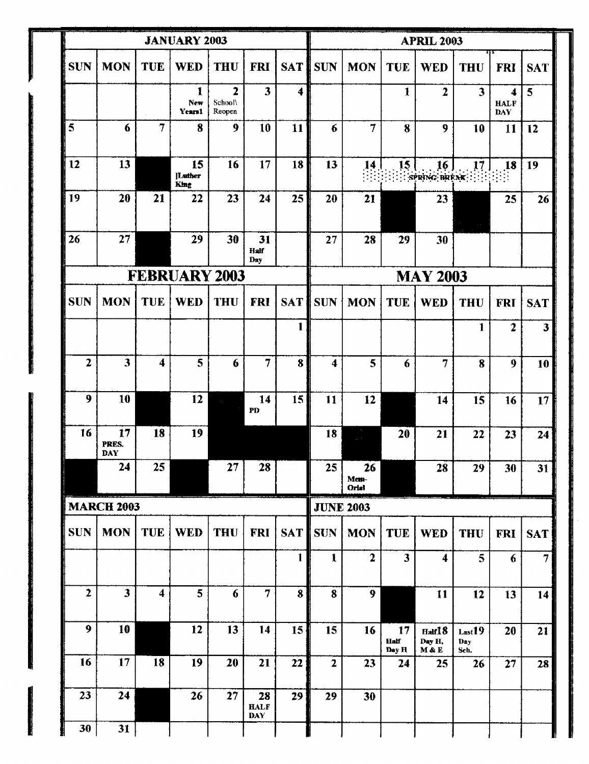|              |                         |                      | <b>JANUARY 2003</b>   |                                     | <b>APRIL 2003</b>               |              |                 |                     |                         |                                        |                                   |                                |                 |
|--------------|-------------------------|----------------------|-----------------------|-------------------------------------|---------------------------------|--------------|-----------------|---------------------|-------------------------|----------------------------------------|-----------------------------------|--------------------------------|-----------------|
| <b>SUN</b>   | <b>MON</b>              | <b>TUE</b>           | <b>WED</b>            | <b>THU</b>                          | <b>FRI</b>                      | <b>SATI</b>  | <b>SUN</b>      | <b>MON</b>          | <b>TUE</b>              | <b>WED</b>                             | <b>THU</b>                        | <b>FRI</b>                     | <b>SAT</b>      |
|              |                         |                      | 1<br>New<br>Years1    | $\overline{2}$<br>School\<br>Reopen | 3                               | 4            |                 |                     | $\mathbf{I}$            | $\overline{2}$                         | $\overline{\mathbf{3}}$           | 4<br><b>HALF</b><br><b>DAY</b> | 5               |
| 5            | 6                       | $\overline{7}$       | 8                     | 9                                   | 10                              | 11           | 6               | 7                   | 8                       | 9                                      | 10                                | 11                             | 12              |
| 12           | 13                      |                      | 15<br>[Lather<br>King | 16                                  | 17                              | 18           | 13              | 14<br>ÚЧ.           | 15                      | 16<br>SPRING BREAK : : : : : : : : : : | 17 <sub>17</sub>                  | 18                             | 19              |
| 19           | 20                      | 21                   | 22                    | 23                                  | 24                              | 25           | 20              | 21                  |                         | 23                                     |                                   | 25                             | 26              |
| 26           | 27                      |                      | 29                    | 30                                  | 31<br><b>Half</b><br>Day        |              | 27              | 28                  | 29                      | 30                                     |                                   |                                |                 |
|              |                         | <b>FEBRUARY 2003</b> |                       | <b>MAY 2003</b>                     |                                 |              |                 |                     |                         |                                        |                                   |                                |                 |
| <b>SUN</b>   | <b>MON</b>              | <b>TUE</b>           | <b>WED</b>            | <b>THU</b>                          | <b>FRI</b>                      | <b>SAT</b>   | <b>SUN</b>      | <b>MON</b>          | <b>TUE</b>              | <b>WED</b>                             | <b>THU</b>                        | <b>FRI</b>                     | <b>SAT</b>      |
|              |                         |                      |                       |                                     |                                 | 1            |                 |                     |                         |                                        | 1                                 | 2                              | 3               |
| $\mathbf{2}$ | 3                       | 4                    | 5                     | $\boldsymbol{6}$                    | $\overline{7}$                  | 8            | 4               | 5                   | 6                       | 7                                      | 8                                 | 9                              | 10              |
| 9            | 10                      |                      | 12                    |                                     | 14<br>PD                        | 15           | 11              | 12                  |                         | 14                                     | 15                                | 16                             | 17              |
| 16           | 17<br>PRES.<br>DAY      | 18                   | 19                    |                                     |                                 |              | 18              |                     | 20                      | 21                                     | 22                                | 23                             | 24              |
|              | 24                      | 25                   |                       | 27 <sub>1</sub>                     | 28                              |              | 25 <sub>1</sub> | 26<br>Mem-<br>Orlal |                         | 28                                     | 29                                | 30                             | 31              |
|              | <b>MARCH 2003</b>       |                      |                       |                                     |                                 |              |                 | <b>JUNE 2003</b>    |                         |                                        |                                   |                                |                 |
| <b>SUN</b>   | <b>MON</b>              | <b>TUE</b>           | <b>WED</b>            | <b>THU</b>                          | <b>FRI</b>                      | <b>SAT</b>   | <b>SUN</b>      | <b>MON</b>          | <b>TUE</b>              | <b>WED</b>                             | <b>THU</b>                        | <b>FRI</b>                     | <b>SAT</b>      |
|              |                         |                      |                       |                                     |                                 | $\mathbf{1}$ | $\mathbf{I}$    | $\overline{2}$      | $\overline{\mathbf{3}}$ | 4                                      | 5                                 | 6                              | $\overline{7}$  |
| $\mathbf{2}$ | $\overline{\mathbf{3}}$ | 4                    | 5                     | 6                                   | $\overline{7}$                  | $\bf{8}$     | 8               | 9                   |                         | 11                                     | 12                                | 13                             | 14              |
| 9            | 10                      |                      | 12                    | 13                                  | 14                              | 15           | 15              | 16                  | 17<br>Half<br>Day H     | Half <sup>18</sup><br>Day H,<br>M & E  | Last <sup>19</sup><br>Day<br>Sch. | 20                             | 21 <sup>1</sup> |
| 16           | 17 <sub>17</sub>        | 18                   | 19                    | 20                                  | 21                              | 22           | $\mathbf{2}$    | 23                  | 24                      | 25                                     | 26                                | 27                             | 28              |
| 23           | 24                      |                      | 26                    | 27                                  | 28<br><b>HALF</b><br><b>DAY</b> | 29           | 29              | 30                  |                         |                                        |                                   |                                |                 |
| 30           | 31                      |                      |                       |                                     |                                 |              |                 |                     |                         |                                        |                                   |                                |                 |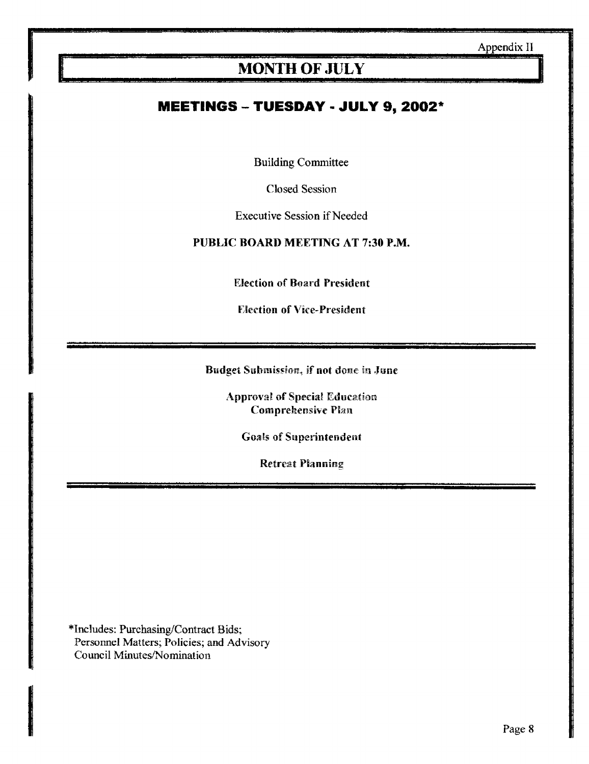# MONTH OF JULY

#### MEETINGS - TUESDAY - JULY 9, 2002\*

Building Committee

Closed Session

Executive Session if Needed

#### PUBLIC BOARD MEETING AT 7:30 P.M.

Election of Board President

Election of Vice-President

Budget Submission, if not done in June

Approval of Special Education Comprehensive Plan

Goals of Superintendent

Retreat Planning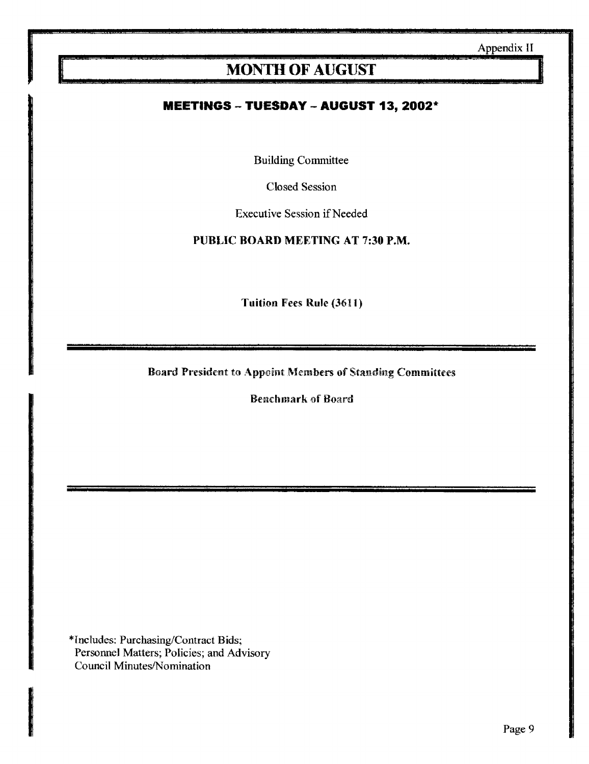# MONTH OF AUGUST

#### **MEETINGS -- TUESDAY -- AUGUST 13, 2002\***

Building Committee

Closed Session

Executive Session if Needed

PUBLIC BOARD MEETING AT 7:30 P.M.

Tuition Pees Rule (3611)

Board President to Appoint Members of Standing Committees

Benchmark of Board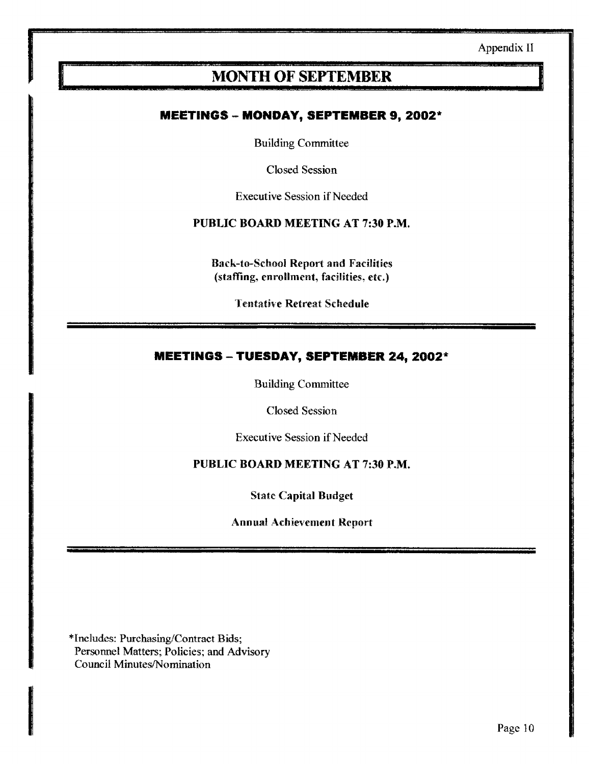# MONTH OF SEPTEMBER

#### **MEETINGS - MONDAY, SEPTEMBER 9, 2002\***

Building Committee

Closed Session

Executive Session if Needed

#### PUBLIC BOARD MEETING AT 7:30 P.M.

Back-to-School Report and Facilities (staffing, enrollment, facilities, etc.)

Tentative Retreat Schedule

#### MEETINGS - TUESDAY, SEPTEMBER 24, 2002\*

Building Committee

Closed Session

Executive Session if Needed

#### PUBLIC BOARD MEETING AT 7:30 P.M.

State Capital Budget

Annual Achievement Report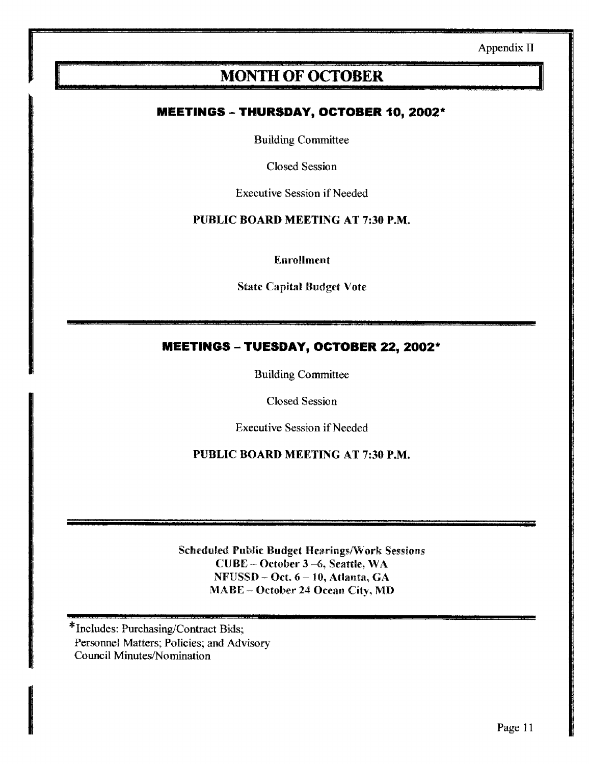# MONTH OF OCTOBER

#### MEETINGS - THURSDAY, OCTOBER 10, 2002\*

Building Committee

Closed Session

Executive Session if Needed

#### PUBLIC BOARD MEETING AT 7:30 P.M.

Enrollment

State Capital Budget Vote

#### MEETINGS - TUESDAY, OCTOBER 22, 2002\*

Building Committee

Closed Session

Executive Session if Needed

PUBLIC BOARD MEETING AT 7:30 P.M.

Scheduled Public Budget Hearings/Work Sessions CUBE - October 3-6, Seattle, WA  $NFUSSD - Oct. 6 - 10, Atlanta, GA$ MABE -- October 24 Ocean City, MD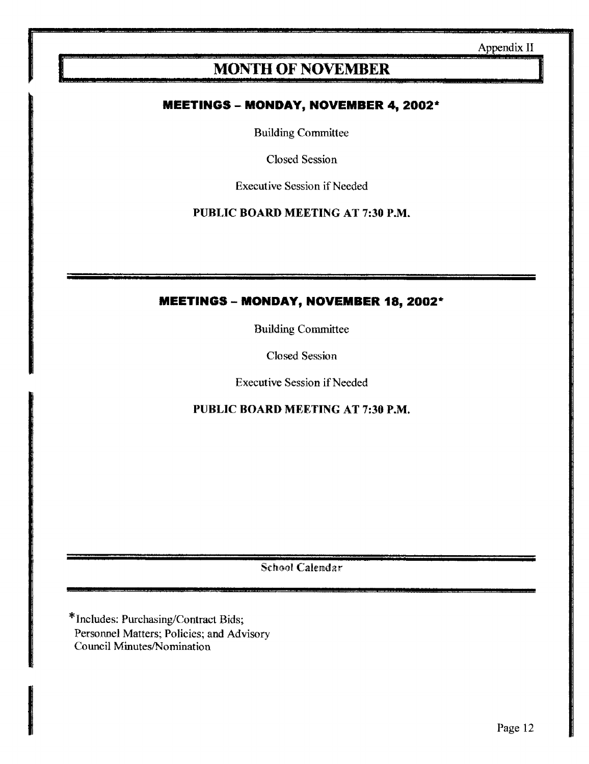# **MONTH OF NOVEMBER**

#### MEETINGS - MONDAY, NOVEMBER 4,2002\*

Building Committee

Closed Session

Executive Session if Needed

PUBLIC BOARD MEETING AT 7:30 P.M.

#### MEETINGS - MONDAY, NOVEMBER 18, 2002\*

Building Committee

Closed Session

Executive Session if Needed

PUBLIC BOARD MEETING AT 7:30 P.M.

School Calendar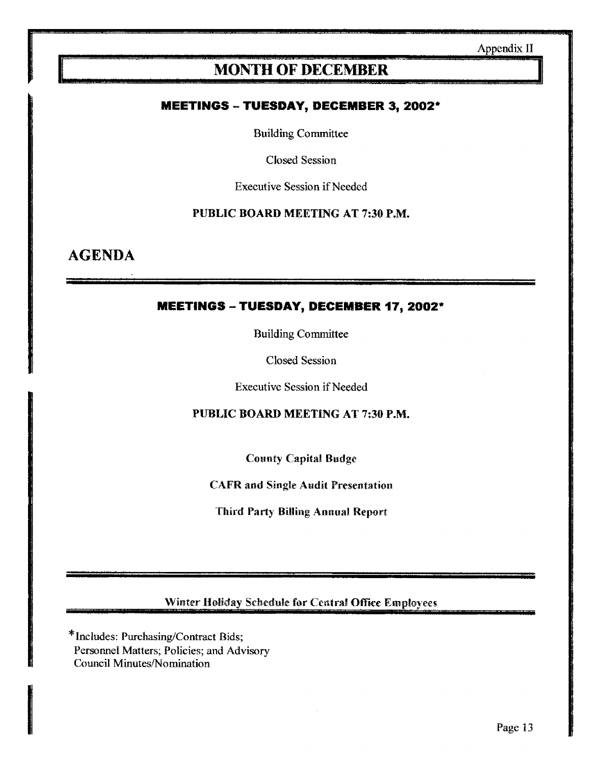## MONTH OF DECEMBER

#### MEETINGS -- TUESDAY, DECEMBER 3,2002\*

Building Committee

Closed Session

Executive Session if Needed

PUBLIC BOARD MEETING AT 7:30 P.M.

AGENDA

#### MEETINGS - TUESDAY, DECEMBER 77, 2002\*

Building Committee

Closed Session

Executive Session if Needed

PUBLIC BOARD MEETING AT 7:30 P.M.

County Capital Budge

CAFR and Single Audit Presentation

Third Party Billing Annual Report

Winter Holiday Schedule for Central Office Employees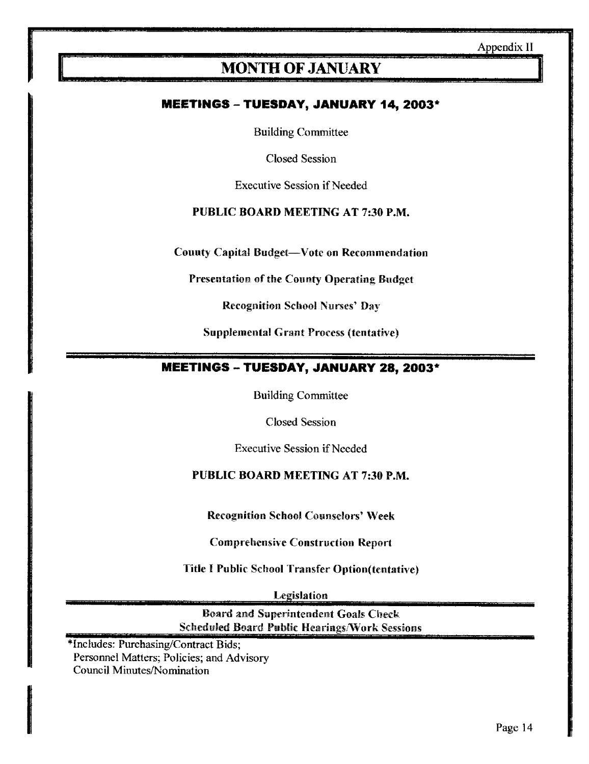# MONTH OF JANUARY

#### MEETINGS - TUESDAY, JANUARY 14,2003\*

Building Committee

Closed Session

Executive Session if Needed

#### PUBLIC BOARD MEETING AT 7:30 P.M.

County Capital Budget-Vote on Recommendation

Presentation of the County Operating Budget

Recognition School Nurses' Day

Supplemental Grant Process (tentative)

#### **MEETINGS - TUESDAY, JANUARY 28, 2003\***

Building Committee

Closed Session

Executive Session if Needed

#### PUBLIC BOARD MEETING AT 7:30 P.M.

Recognition School Counselors' Week

Comprehensive Construction Report

Title <sup>I</sup> Public School Transfer Option(tentative)

Legislation

Board and Superintendent Goals Check; Scheduled Board Public Hearings/Work Sessions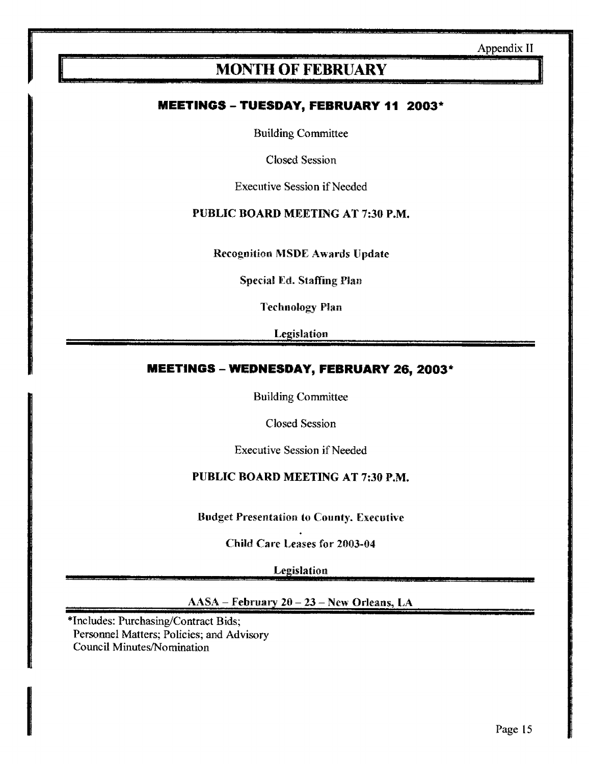## **MONTH OF FEBRUARY**

#### MEETINGS - TUESDAY, FEBRUARY 11 2003'

Building Committee

Closed Session

Executive Session if Needed

#### PUBLIC BOARD MEETING AT 7:30 P.M.

Recognition MSDE Awards Update

Special Ed. Staffing Plan

Technology Flan

Legislation

#### MEETINGS - WEDNESDAY, FEBRUARY 26,2003\*

Building Committee

Closed Session

Executive Session if Needed

#### PUBLIC BOARD MEETING AT 7:30 P.M.

Budget Presentation to County. Executive

Child Care Leases for 2003-04

**Legislation** 

AASA - February <sup>20</sup> - <sup>23</sup> - New Orleans, LA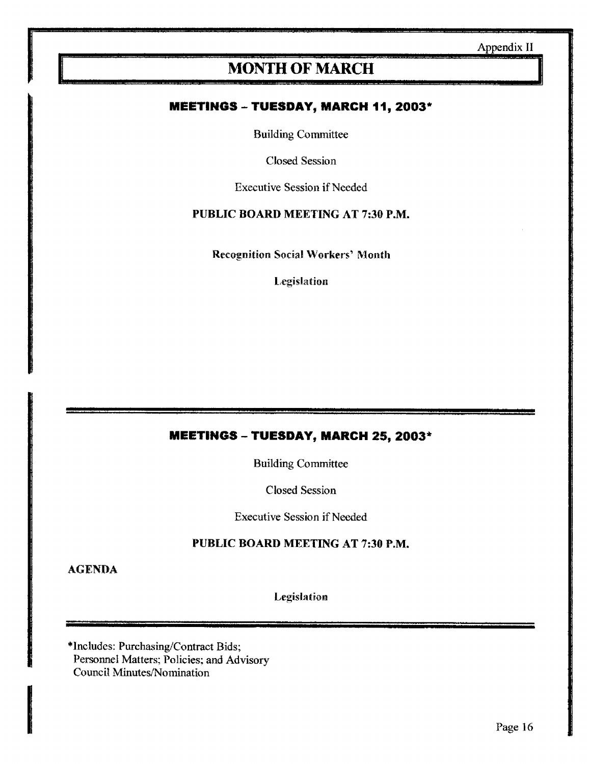# MONTH OF MARCH

#### **MEETINGS - TUESDAY, MARCH 11, 2003\***

Building Committee

Closed Session

Executive Session if Needed

#### PUBLIC BOARD MEETING AT 7:30 P.M.

**Recognition Social Workers' Month** 

Legislation

#### MEETINGS - TUESDAY, MARCH 25, 2003\*

Building Committee

Closed Session

Executive Session if Needed

#### PUBLIC BOARD MEETING AT 7:30 P.M.

AGENDA

Legislation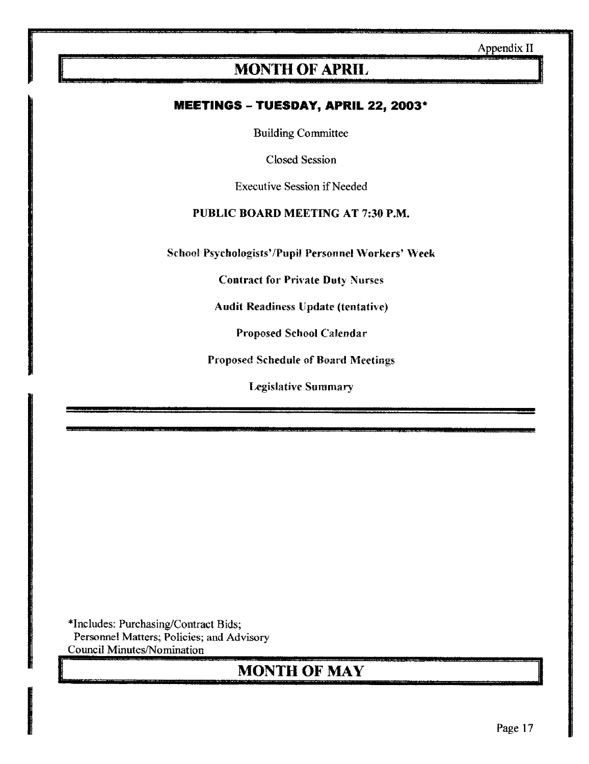# MONTH OF APRIL,

#### MEETINGS - TUESDAY, APRIL 22, 2003\*

Building Committee

Closed Session

Executive Session if Needed

#### PUBLIC BOARD MEETING AT 7:30 P.M.

School Psychologists'/Pupil Personnel Workers' Week

Contract for Private Duty Nurses

Audit Readiness Update (tentative)

Proposed School Calendar

Proposed Schedule of Board Meetings

Legislative Summary

\*Includes: Purchasing/Contract Bids; Personnel Matters; Policies; and Advisory Council Minutes/Nomination

# MONTH OF MAY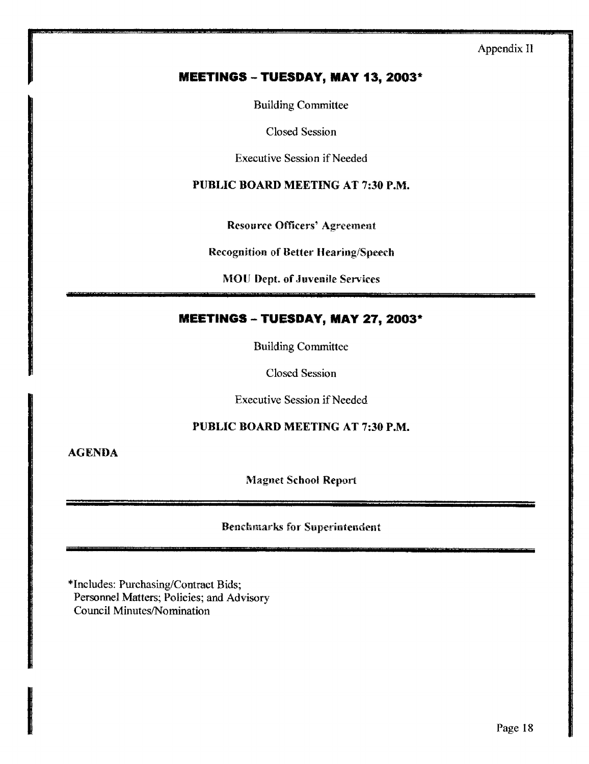#### MEETINGS - TUESDAY, MAY 13, 2003\*

Building Committee

Closed Session

Executive Session if Needed

PUBLIC BOARD MEETING AT 7:30 P.M.

Resource Officers' Agreement

Recognition of Better Hearing/Speech

MOU Dept. of Juvenile Services

#### MEETINGS - TUESDAY, MAY 27, 2003\*

Building Committee

Closed Session

Executive Session if Needed

#### PUBLIC BOARD MEETING AT 7:30 P.M.

AGENDA

Magnet School Report

Benchmarks for Superintendent